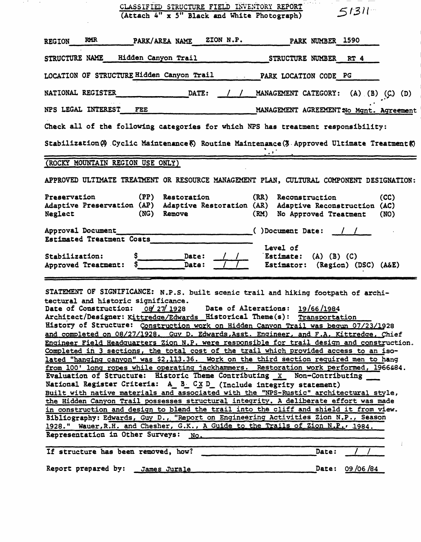|                                                | CLASSIFIED STRUCTURE FIELD INVENTORY REPORT<br>(Attach 4" x 5" Black and White Photograph) | $5131 -$                                                                                                                                                                                                                                                                                                                                                                                                                                                                                                                                                                                                                                                                                                                                                                                                                                                                                                                                                                                                                                                                                                                                                                                                                                                                                                                                                        |
|------------------------------------------------|--------------------------------------------------------------------------------------------|-----------------------------------------------------------------------------------------------------------------------------------------------------------------------------------------------------------------------------------------------------------------------------------------------------------------------------------------------------------------------------------------------------------------------------------------------------------------------------------------------------------------------------------------------------------------------------------------------------------------------------------------------------------------------------------------------------------------------------------------------------------------------------------------------------------------------------------------------------------------------------------------------------------------------------------------------------------------------------------------------------------------------------------------------------------------------------------------------------------------------------------------------------------------------------------------------------------------------------------------------------------------------------------------------------------------------------------------------------------------|
| <b>RMR</b><br><b>REGION</b>                    | PARK/AREA NAME                                                                             | ZION N.P.<br><b>PARK NUMBER 1590</b>                                                                                                                                                                                                                                                                                                                                                                                                                                                                                                                                                                                                                                                                                                                                                                                                                                                                                                                                                                                                                                                                                                                                                                                                                                                                                                                            |
| STRUCTURE NAME                                 | Hidden Canyon Trail                                                                        | STRUCTURE NUMBER RT 4                                                                                                                                                                                                                                                                                                                                                                                                                                                                                                                                                                                                                                                                                                                                                                                                                                                                                                                                                                                                                                                                                                                                                                                                                                                                                                                                           |
|                                                | LOCATION OF STRUCTURE Hidden Canyon Trail                                                  | PARK LOCATION CODE PG                                                                                                                                                                                                                                                                                                                                                                                                                                                                                                                                                                                                                                                                                                                                                                                                                                                                                                                                                                                                                                                                                                                                                                                                                                                                                                                                           |
| NATIONAL REGISTER                              | <b>DATE:</b>                                                                               | MANAGEMENT CATEGORY:<br>(A) (B) (C) (D)                                                                                                                                                                                                                                                                                                                                                                                                                                                                                                                                                                                                                                                                                                                                                                                                                                                                                                                                                                                                                                                                                                                                                                                                                                                                                                                         |
| NPS LEGAL INTEREST                             | FEE                                                                                        | MANAGEMENT AGREEMENT No Mgnt. Agreement                                                                                                                                                                                                                                                                                                                                                                                                                                                                                                                                                                                                                                                                                                                                                                                                                                                                                                                                                                                                                                                                                                                                                                                                                                                                                                                         |
|                                                |                                                                                            | Check all of the following categories for which NPS has treatment responsibility:                                                                                                                                                                                                                                                                                                                                                                                                                                                                                                                                                                                                                                                                                                                                                                                                                                                                                                                                                                                                                                                                                                                                                                                                                                                                               |
|                                                |                                                                                            | Stabilization (3) Cyclic Maintenance (5) Routine Maintenance (3 Approved Ultimate Treatment (5)                                                                                                                                                                                                                                                                                                                                                                                                                                                                                                                                                                                                                                                                                                                                                                                                                                                                                                                                                                                                                                                                                                                                                                                                                                                                 |
|                                                | (ROCKY MOUNTAIN REGION USE ONLY)                                                           |                                                                                                                                                                                                                                                                                                                                                                                                                                                                                                                                                                                                                                                                                                                                                                                                                                                                                                                                                                                                                                                                                                                                                                                                                                                                                                                                                                 |
|                                                |                                                                                            | APPROVED ULTIMATE TREATMENT OR RESOURCE MANAGEMENT PLAN, CULTURAL COMPONENT DESIGNATION:                                                                                                                                                                                                                                                                                                                                                                                                                                                                                                                                                                                                                                                                                                                                                                                                                                                                                                                                                                                                                                                                                                                                                                                                                                                                        |
| Preservation<br>Neglect                        | (PP) Restoration<br>(NG) Remove                                                            | (RR) Reconstruction<br>(CC)<br>Adaptive Preservation (AP) Adaptive Restoration (AR) Adaptive Reconstruction (AC)<br>(RM)<br>No Approved Treatment<br>(NO)                                                                                                                                                                                                                                                                                                                                                                                                                                                                                                                                                                                                                                                                                                                                                                                                                                                                                                                                                                                                                                                                                                                                                                                                       |
| Approval Document<br>Estimated Treatment Costs |                                                                                            | ()Document Date:                                                                                                                                                                                                                                                                                                                                                                                                                                                                                                                                                                                                                                                                                                                                                                                                                                                                                                                                                                                                                                                                                                                                                                                                                                                                                                                                                |
| Stabilization:<br>Approved Treatment:          | s<br>Date:<br>Date:                                                                        | Level of<br>Estimate:<br>$(A)$ $(B)$ $(C)$<br>Estimator:<br>(Region) (DSC) (A&E)                                                                                                                                                                                                                                                                                                                                                                                                                                                                                                                                                                                                                                                                                                                                                                                                                                                                                                                                                                                                                                                                                                                                                                                                                                                                                |
|                                                | tectural and historic significance.<br>Date of Construction: 08/27/1928                    | STATEMENT OF SIGNIFICANCE: N.P.S. built scenic trail and hiking footpath of archi-<br>Date of Alterations: 19/66/1984<br>Architect/Designer: Kittredge/Edwards Historical Theme(s): Transportation<br>History of Structure: Construction work on Hidden Canyon Trail was begun 07/23/1928<br>and completed on 08/27/1928. Guy D. Edwards, Asst. Engineer, and F.A. Kittredge, Chief<br>Engineer Field Headquarters Zion N.P. were responsible for trail design and construction.<br>Completed in 3 sections, the total cost of the trail which provided access to an iso-<br>lated "hanging canyon" was \$2,113.36. Work on the third section required men to hang<br>from 100' long ropes while operating jackhammers. Restoration work performed, 1966684.<br>Evaluation of Structure: Historic Theme Contributing X Non-Contributing<br>National Register Criteria: A B CXD (Include integrity statement)<br>Built with native materials and associated with the "NPS-Rustic" architectural style,<br>the Hidden Canyon Trail possesses structural integrity. A deliberate effort was made<br>in construction and design to blend the trail into the cliff and shield it from view.<br>Bibliography: Edwards, Guy D., "Report on Engineering Activities Zion N.P., Season<br>1928." Wauer, R.H. and Chesher, G.K., A Guide to the Trails of Zion N.P., 1984. |
|                                                | Representation in Other Surveys: No.                                                       |                                                                                                                                                                                                                                                                                                                                                                                                                                                                                                                                                                                                                                                                                                                                                                                                                                                                                                                                                                                                                                                                                                                                                                                                                                                                                                                                                                 |